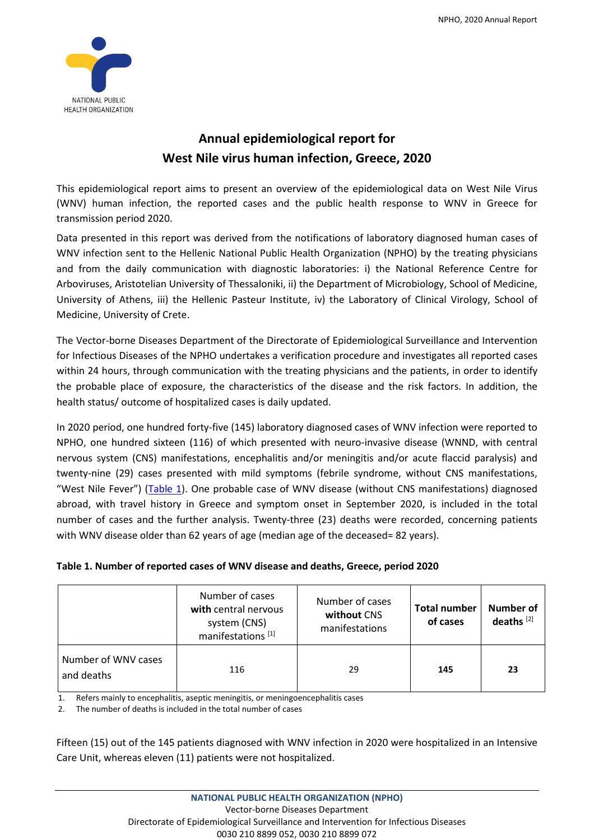

# **Annual epidemiological report for West Nile virus human infection, Greece, 2020**

This epidemiological report aims to present an overview of the epidemiological data on West Nile Virus (WNV) human infection, the reported cases and the public health response to WNV in Greece for transmission period 2020.

Data presented in this report was derived from the notifications of laboratory diagnosed human cases of WNV infection sent to the Hellenic National Public Health Organization (NPHO) by the treating physicians and from the daily communication with diagnostic laboratories: i) the National Reference Centre for Arboviruses, Aristotelian University of Thessaloniki, ii) the Department of Microbiology, School of Medicine, University of Athens, iii) the Hellenic Pasteur Institute, iv) the Laboratory of Clinical Virology, School of Medicine, University of Crete.

The Vector-borne Diseases Department of the Directorate of Epidemiological Surveillance and Intervention for Infectious Diseases of the NPHO undertakes a verification procedure and investigates all reported cases within 24 hours, through communication with the treating physicians and the patients, in order to identify the probable place of exposure, the characteristics of the disease and the risk factors. In addition, the health status/ outcome of hospitalized cases is daily updated.

In 2020 period, one hundred forty-five (145) laboratory diagnosed cases of WNV infection were reported to NPHO, one hundred sixteen (116) of which presented with neuro-invasive disease (WNND, with central nervous system (CNS) manifestations, encephalitis and/or meningitis and/or acute flaccid paralysis) and twenty-nine (29) cases presented with mild symptoms (febrile syndrome, without CNS manifestations, "West Nile Fever") (Table 1). One probable case of WNV disease (without CNS manifestations) diagnosed abroad, with travel history in Greece and symptom onset in September 2020, is included in the total number of cases and the further analysis. Twenty-three (23) deaths were recorded, concerning patients with WNV disease older than 62 years of age (median age of the deceased= 82 years).

### **Table 1. Number of reported cases of WNV disease and deaths, Greece, period 2020**

|                                   | Number of cases<br>with central nervous<br>system (CNS)<br>manifestations <sup>[1]</sup> | Number of cases<br>without CNS<br>manifestations | <b>Total number</b><br>of cases | Number of<br>deaths <sup>[2]</sup> |
|-----------------------------------|------------------------------------------------------------------------------------------|--------------------------------------------------|---------------------------------|------------------------------------|
| Number of WNV cases<br>and deaths | 116                                                                                      |                                                  | 145                             | 23                                 |

1. Refers mainly to encephalitis, aseptic meningitis, or meningoencephalitis cases

The number of deaths is included in the total number of cases

Fifteen (15) out of the 145 patients diagnosed with WNV infection in 2020 were hospitalized in an Intensive Care Unit, whereas eleven (11) patients were not hospitalized.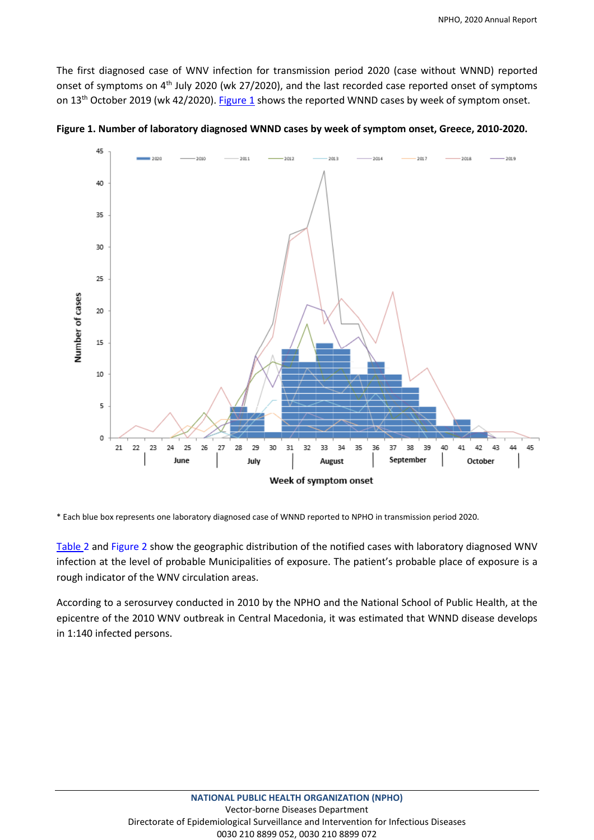The first diagnosed case of WNV infection for transmission period 2020 (case without WNND) reported onset of symptoms on 4<sup>th</sup> July 2020 (wk 27/2020), and the last recorded case reported onset of symptoms on 13<sup>th</sup> October 2019 (wk 42/2020). Figure 1 shows the reported WNND cases by week of symptom onset.



**Figure 1. Number of laboratory diagnosed WNND cases by week of symptom onset, Greece, 2010-2020.**

\* Each blue box represents one laboratory diagnosed case of WNND reported to NPHO in transmission period 2020.

Table 2 and Figure 2 show the geographic distribution of the notified cases with laboratory diagnosed WNV infection at the level of probable Municipalities of exposure. The patient's probable place of exposure is a rough indicator of the WNV circulation areas.

According to a serosurvey conducted in 2010 by the NPHO and the National School of Public Health, at the epicentre of the 2010 WNV outbreak in Central Macedonia, it was estimated that WNND disease develops in 1:140 infected persons.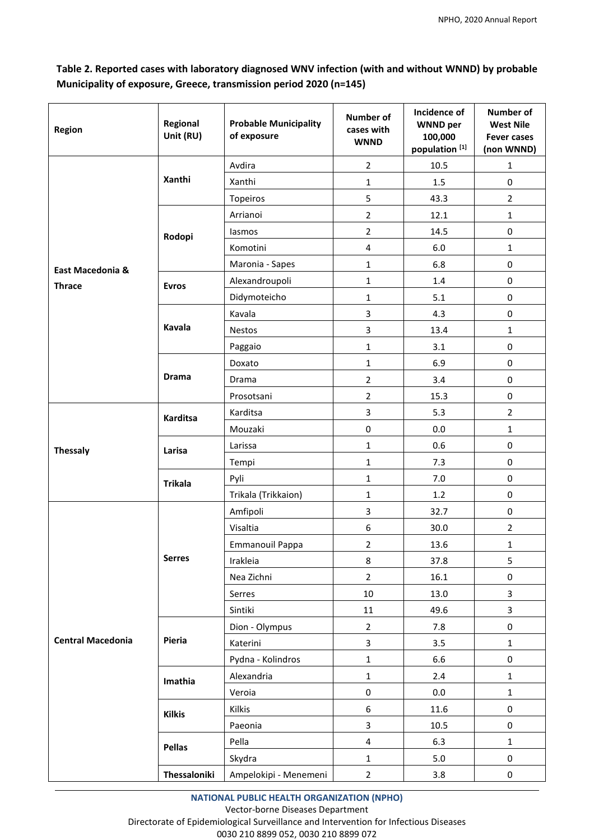## **Table 2. Reported cases with laboratory diagnosed WNV infection (with and without WNND) by probable Municipality of exposure, Greece, transmission period 2020 (n=145)**

| Region                   | Regional<br>Unit (RU)    | <b>Probable Municipality</b><br>of exposure | <b>Number of</b><br>cases with<br><b>WNND</b> | Incidence of<br><b>WNND</b> per<br>100,000<br>population <sup>[1]</sup> | <b>Number of</b><br><b>West Nile</b><br><b>Fever cases</b><br>(non WNND) |
|--------------------------|--------------------------|---------------------------------------------|-----------------------------------------------|-------------------------------------------------------------------------|--------------------------------------------------------------------------|
|                          |                          | Avdira                                      | $\overline{2}$                                | 10.5                                                                    | $\mathbf{1}$                                                             |
|                          | Xanthi                   | Xanthi                                      | $\mathbf{1}$                                  | 1.5                                                                     | 0                                                                        |
|                          |                          | Topeiros                                    | 5                                             | 43.3                                                                    | $\overline{2}$                                                           |
|                          |                          | Arrianoi                                    | $\overline{2}$                                | 12.1                                                                    | $\mathbf{1}$                                                             |
|                          | Rodopi                   | lasmos                                      | $\overline{2}$                                | 14.5                                                                    | $\pmb{0}$                                                                |
|                          |                          | Komotini                                    | $\overline{\mathbf{4}}$                       | 6.0                                                                     | $\mathbf{1}$                                                             |
| East Macedonia &         |                          | Maronia - Sapes                             | $\mathbf{1}$                                  | 6.8                                                                     | $\pmb{0}$                                                                |
| <b>Thrace</b>            | <b>Evros</b>             | Alexandroupoli                              | $\mathbf{1}$                                  | 1.4                                                                     | $\pmb{0}$                                                                |
|                          |                          | Didymoteicho                                | $\mathbf{1}$                                  | 5.1                                                                     | 0                                                                        |
|                          |                          | Kavala                                      | 3                                             | 4.3                                                                     | $\pmb{0}$                                                                |
|                          | Kavala                   | Nestos                                      | 3                                             | 13.4                                                                    | $\mathbf{1}$                                                             |
|                          |                          | Paggaio                                     | $\mathbf{1}$                                  | 3.1                                                                     | $\pmb{0}$                                                                |
|                          |                          | Doxato                                      | $\mathbf{1}$                                  | 6.9                                                                     | $\pmb{0}$                                                                |
|                          | <b>Drama</b>             | Drama                                       | $\overline{2}$                                | 3.4                                                                     | $\pmb{0}$                                                                |
|                          |                          | Prosotsani                                  | $\overline{2}$                                | 15.3                                                                    | $\pmb{0}$                                                                |
|                          | <b>Karditsa</b>          | Karditsa                                    | 3                                             | 5.3                                                                     | $\overline{2}$                                                           |
|                          |                          | Mouzaki                                     | $\pmb{0}$                                     | 0.0                                                                     | 1                                                                        |
| <b>Thessaly</b>          | Larisa                   | Larissa                                     | $\mathbf 1$                                   | 0.6                                                                     | $\pmb{0}$                                                                |
|                          |                          | Tempi                                       | $\mathbf{1}$                                  | 7.3                                                                     | $\pmb{0}$                                                                |
|                          | <b>Trikala</b>           | Pyli                                        | $\mathbf{1}$                                  | 7.0                                                                     | $\pmb{0}$                                                                |
|                          |                          | Trikala (Trikkaion)                         | $\mathbf{1}$                                  | 1.2                                                                     | $\pmb{0}$                                                                |
|                          | <b>Serres</b>            | Amfipoli                                    | 3                                             | 32.7                                                                    | $\pmb{0}$                                                                |
|                          |                          | Visaltia                                    | 6                                             | 30.0                                                                    | $\overline{2}$                                                           |
|                          |                          | Emmanouil Pappa                             | $\overline{2}$                                | 13.6                                                                    | 1                                                                        |
|                          |                          | Irakleia                                    | 8                                             | 37.8                                                                    | 5                                                                        |
|                          |                          | Nea Zichni                                  | $\overline{2}$                                | 16.1                                                                    | $\pmb{0}$                                                                |
|                          |                          | Serres                                      | 10                                            | 13.0                                                                    | $\overline{\mathbf{3}}$                                                  |
|                          |                          | Sintiki                                     | 11                                            | 49.6                                                                    | 3                                                                        |
|                          | Pieria                   | Dion - Olympus                              | $\overline{2}$                                | 7.8                                                                     | $\pmb{0}$                                                                |
| <b>Central Macedonia</b> |                          | Katerini                                    | 3                                             | 3.5                                                                     | $\mathbf{1}$                                                             |
|                          |                          | Pydna - Kolindros                           | $\mathbf{1}$                                  | 6.6                                                                     | 0                                                                        |
|                          | Imathia<br><b>Kilkis</b> | Alexandria                                  | $\mathbf 1$                                   | 2.4                                                                     | $\mathbf 1$                                                              |
|                          |                          | Veroia                                      | $\pmb{0}$                                     | 0.0                                                                     | $\mathbf{1}$                                                             |
|                          |                          | Kilkis                                      | 6                                             | 11.6                                                                    | $\mathbf 0$                                                              |
|                          |                          | Paeonia                                     | 3                                             | 10.5                                                                    | $\pmb{0}$                                                                |
|                          | <b>Pellas</b>            | Pella                                       | $\overline{\mathbf{4}}$                       | 6.3                                                                     | $\mathbf{1}$                                                             |
|                          |                          | Skydra                                      | $\mathbf{1}$                                  | 5.0                                                                     | 0                                                                        |
|                          | Thessaloniki             | Ampelokipi - Menemeni                       | $\overline{2}$                                | 3.8                                                                     | $\mathsf 0$                                                              |

**NATIONAL PUBLIC HEALTH ORGANIZATION (NPHO)** Vector-borne Diseases Department Directorate of Epidemiological Surveillance and Intervention for Infectious Diseases 0030 210 8899 052, 0030 210 8899 072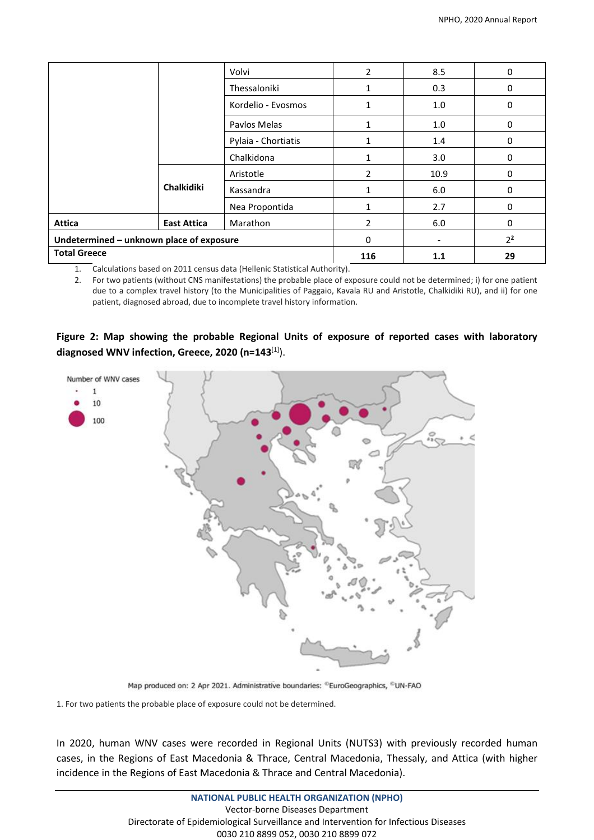|                                          |                    | Volvi               | $\overline{2}$ | 8.5  | 0              |
|------------------------------------------|--------------------|---------------------|----------------|------|----------------|
|                                          |                    | Thessaloniki        |                | 0.3  | 0              |
|                                          |                    | Kordelio - Evosmos  |                | 1.0  | $\Omega$       |
|                                          |                    | Paylos Melas        |                | 1.0  | $\Omega$       |
|                                          |                    | Pylaia - Chortiatis |                | 1.4  | 0              |
|                                          |                    | Chalkidona          |                | 3.0  | 0              |
|                                          | Chalkidiki         | Aristotle           | 2              | 10.9 | 0              |
|                                          |                    | Kassandra           |                | 6.0  | 0              |
|                                          |                    | Nea Propontida      | 1              | 2.7  | $\Omega$       |
| Attica                                   | <b>East Attica</b> | Marathon            | 2              | 6.0  | $\Omega$       |
| Undetermined - unknown place of exposure |                    |                     | 0              |      | 2 <sup>2</sup> |
| <b>Total Greece</b>                      |                    |                     | 116            | 1.1  | 29             |

1. Calculations based on 2011 census data (Hellenic Statistical Authority).

2. For two patients (without CNS manifestations) the probable place of exposure could not be determined; i) for one patient due to a complex travel history (to the Municipalities of Paggaio, Kavala RU and Aristotle, Chalkidiki RU), and ii) for one patient, diagnosed abroad, due to incomplete travel history information.

**Figure 2: Map showing the probable Regional Units of exposure of reported cases with laboratory diagnosed WNV infection, Greece, 2020 (n=143**[1]).



Map produced on: 2 Apr 2021. Administrative boundaries: ®EuroGeographics, ®UN-FAO

1. For two patients the probable place of exposure could not be determined.

In 2020, human WNV cases were recorded in Regional Units (NUTS3) with previously recorded human cases, in the Regions of East Macedonia & Thrace, Central Macedonia, Thessaly, and Attica (with higher incidence in the Regions of East Macedonia & Thrace and Central Macedonia).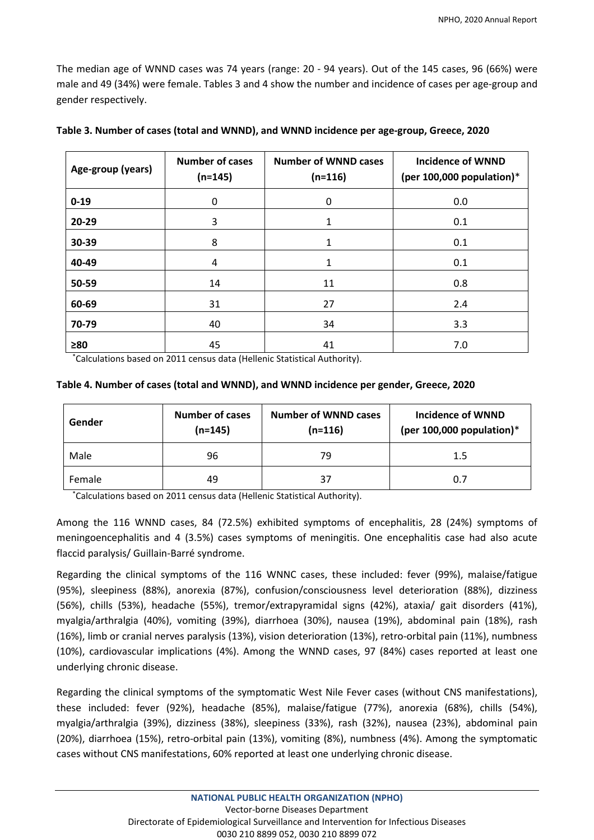The median age of WNND cases was 74 years (range: 20 - 94 years). Out of the 145 cases, 96 (66%) were male and 49 (34%) were female. Tables 3 and 4 show the number and incidence of cases per age-group and gender respectively.

| Age-group (years) | <b>Number of cases</b><br>$(n=145)$ | <b>Number of WNND cases</b><br>$(n=116)$ | <b>Incidence of WNND</b><br>(per 100,000 population) $*$ |
|-------------------|-------------------------------------|------------------------------------------|----------------------------------------------------------|
| $0 - 19$          | 0                                   | 0                                        | 0.0                                                      |
| 20-29             | 3                                   | 1                                        | 0.1                                                      |
| 30-39             | 8                                   | 1                                        | 0.1                                                      |
| 40-49             | 4                                   | 1                                        | 0.1                                                      |
| 50-59             | 14                                  | 11                                       | 0.8                                                      |
| 60-69             | 31                                  | 27                                       | 2.4                                                      |
| 70-79             | 40                                  | 34                                       | 3.3                                                      |
| $\geq 80$         | 45                                  | 41                                       | 7.0                                                      |

|  |  | Table 3. Number of cases (total and WNND), and WNND incidence per age-group, Greece, 2020 |  |  |
|--|--|-------------------------------------------------------------------------------------------|--|--|
|  |  |                                                                                           |  |  |

\*Calculations based on 2011 census data (Hellenic Statistical Authority).

#### **Table 4. Number of cases (total and WNND), and WNND incidence per gender, Greece, 2020**

| Gender | <b>Number of cases</b><br>$(n=145)$ | <b>Number of WNND cases</b><br>$(n=116)$ | Incidence of WNND<br>(per 100,000 population) $*$ |  |
|--------|-------------------------------------|------------------------------------------|---------------------------------------------------|--|
| Male   | 96                                  | 79                                       | $1.5\,$                                           |  |
| Female | 49                                  | 37                                       | 0.7                                               |  |

\*Calculations based on 2011 census data (Hellenic Statistical Authority).

Among the 116 WNND cases, 84 (72.5%) exhibited symptoms of encephalitis, 28 (24%) symptoms of meningoencephalitis and 4 (3.5%) cases symptoms of meningitis. One encephalitis case had also acute flaccid paralysis/ Guillain-Barré syndrome.

Regarding the clinical symptoms of the 116 WNNC cases, these included: fever (99%), malaise/fatigue (95%), sleepiness (88%), anorexia (87%), confusion/consciousness level deterioration (88%), dizziness (56%), chills (53%), headache (55%), tremor/extrapyramidal signs (42%), ataxia/ gait disorders (41%), myalgia/arthralgia (40%), vomiting (39%), diarrhoea (30%), nausea (19%), abdominal pain (18%), rash (16%), limb or cranial nerves paralysis (13%), vision deterioration (13%), retro-orbital pain (11%), numbness (10%), cardiovascular implications (4%). Among the WNND cases, 97 (84%) cases reported at least one underlying chronic disease.

Regarding the clinical symptoms of the symptomatic West Nile Fever cases (without CNS manifestations), these included: fever (92%), headache (85%), malaise/fatigue (77%), anorexia (68%), chills (54%), myalgia/arthralgia (39%), dizziness (38%), sleepiness (33%), rash (32%), nausea (23%), abdominal pain (20%), diarrhoea (15%), retro-orbital pain (13%), vomiting (8%), numbness (4%). Among the symptomatic cases without CNS manifestations, 60% reported at least one underlying chronic disease.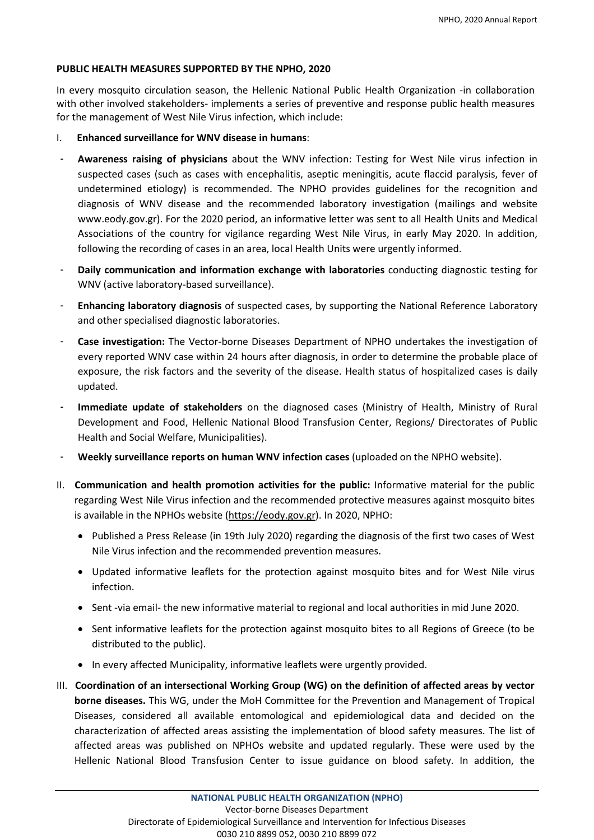#### **PUBLIC HEALTH MEASURES SUPPORTED BY THE NPHO, 2020**

In every mosquito circulation season, the Hellenic National Public Health Organization -in collaboration with other involved stakeholders- implements a series of preventive and response public health measures for the management of West Nile Virus infection, which include:

- I. **Enhanced surveillance for WNV disease in humans**:
- ‐ **Awareness raising of physicians** about the WNV infection: Testing for West Nile virus infection in suspected cases (such as cases with encephalitis, aseptic meningitis, acute flaccid paralysis, fever of undetermined etiology) is recommended. The NPHO provides guidelines for the recognition and diagnosis of WNV disease and the recommended laboratory investigation (mailings and website [www.eody.gov.gr\)](http://www.eody.gov.gr/). For the 2020 period, an informative letter was sent to all Health Units and Medical Associations of the country for vigilance regarding West Nile Virus, in early May 2020. In addition, following the recording of cases in an area, local Health Units were urgently informed.
- ‐ **Daily communication and information exchange with laboratories** conducting diagnostic testing for WNV (active laboratory-based surveillance).
- ‐ **Enhancing laboratory diagnosis** of suspected cases, by supporting the National Reference Laboratory and other specialised diagnostic laboratories.
- ‐ **Case investigation:** The Vector-borne Diseases Department of NPHO undertakes the investigation of every reported WNV case within 24 hours after diagnosis, in order to determine the probable place of exposure, the risk factors and the severity of the disease. Health status of hospitalized cases is daily updated.
- ‐ **Immediate update of stakeholders** on the diagnosed cases (Ministry of Health, Ministry of Rural Development and Food, Hellenic National Blood Transfusion Center, Regions/ Directorates of Public Health and Social Welfare, Municipalities).
- ‐ **Weekly surveillance reports on human WNV infection cases** (uploaded on the NPHO website).
- II. **Communication and health promotion activities for the public:** Informative material for the public regarding West Nile Virus infection and the recommended protective measures against mosquito bites is available in the NPHOs website [\(https://eody.gov.gr\)](https://eody.gov.gr/). In 2020, NPHO:
	- Published a Press Release (in 19th July 2020) regarding the diagnosis of the first two cases of West Nile Virus infection and the recommended prevention measures.
	- Updated informative leaflets for the protection against mosquito bites and for West Nile virus infection.
	- Sent -via email- the new informative material to regional and local authorities in mid June 2020.
	- Sent informative leaflets for the protection against mosquito bites to all Regions of Greece (to be distributed to the public).
	- In every affected Municipality, informative leaflets were urgently provided.
- III. **Coordination of an intersectional Working Group (WG) on the definition of affected areas by vector borne diseases.** This WG, under the MoH Committee for the Prevention and Management of Tropical Diseases, considered all available entomological and epidemiological data and decided on the characterization of affected areas assisting the implementation of blood safety measures. The list of affected areas was published on NPHOs website and updated regularly. These were used by the Hellenic National Blood Transfusion Center to issue guidance on blood safety. In addition, the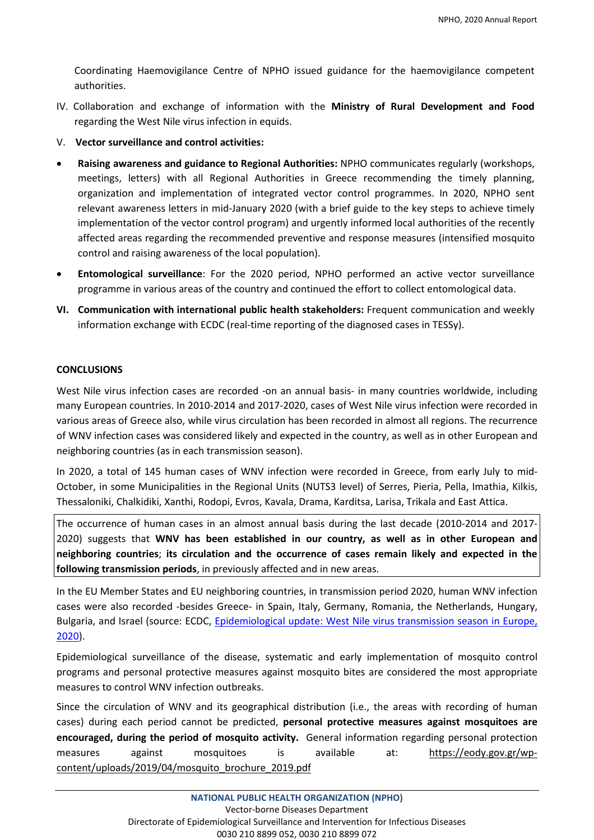Coordinating Haemovigilance Centre of NPHO issued guidance for the haemovigilance competent authorities.

- IV.Collaboration and exchange of information with the **Ministry of Rural Development and Food** regarding the West Nile virus infection in equids.
- V. **Vector surveillance and control activities:**
- **Raising awareness and guidance to Regional Authorities:** NPHO communicates regularly (workshops, meetings, letters) with all Regional Authorities in Greece recommending the timely planning, organization and implementation of integrated vector control programmes. In 2020, NPHO sent relevant awareness letters in mid-January 2020 (with a brief guide to the key steps to achieve timely implementation of the vector control program) and urgently informed local authorities of the recently affected areas regarding the recommended preventive and response measures (intensified mosquito control and raising awareness of the local population).
- **Entomological surveillance**: For the 2020 period, NPHO performed an active vector surveillance programme in various areas of the country and continued the effort to collect entomological data.
- **VI. Communication with international public health stakeholders:** Frequent communication and weekly information exchange with ECDC (real-time reporting of the diagnosed cases in TESSy).

#### **CONCLUSIONS**

West Nile virus infection cases are recorded -on an annual basis- in many countries worldwide, including many European countries. In 2010-2014 and 2017-2020, cases of West Nile virus infection were recorded in various areas of Greece also, while virus circulation has been recorded in almost all regions. The recurrence of WNV infection cases was considered likely and expected in the country, as well as in other European and neighboring countries (as in each transmission season).

In 2020, a total of 145 human cases of WNV infection were recorded in Greece, from early July to mid-October, in some Municipalities in the Regional Units (NUTS3 level) of Serres, Pieria, Pella, Imathia, Kilkis, Thessaloniki, Chalkidiki, Xanthi, Rodopi, Evros, Kavala, Drama, Karditsa, Larisa, Trikala and East Attica.

The occurrence of human cases in an almost annual basis during the last decade (2010-2014 and 2017- 2020) suggests that **WNV has been established in our country, as well as in other European and neighboring countries**; **its circulation and the occurrence of cases remain likely and expected in the following transmission periods**, in previously affected and in new areas.

In the EU Member States and EU neighboring countries, in transmission period 2020, human WNV infection cases were also recorded -besides Greece- in Spain, Italy, Germany, Romania, the Netherlands, Hungary, Bulgaria, and Israel (source: ECDC, [Epidemiological](https://www.ecdc.europa.eu/en/news-events/epidemiological-update-west-nile-virus-transmission-season-europe-2020) update: West Nile virus transmission season in Europe, [2020\)](https://www.ecdc.europa.eu/en/news-events/epidemiological-update-west-nile-virus-transmission-season-europe-2020).

Epidemiological surveillance of the disease, systematic and early implementation of mosquito control programs and personal protective measures against mosquito bites are considered the most appropriate measures to control WNV infection outbreaks.

Since the circulation of WNV and its geographical distribution (i.e., the areas with recording of human cases) during each period cannot be predicted, **personal protective measures against mosquitoes are encouraged, during the period of mosquito activity.** General information regarding personal protection measures against mosquitoes is available at: [https://eody.gov.gr/wp](https://eody.gov.gr/wp-content/uploads/2019/04/mosquito_brochure_2019.pdf)[content/uploads/2019/04/mosquito\\_brochure\\_2019.pdf](https://eody.gov.gr/wp-content/uploads/2019/04/mosquito_brochure_2019.pdf)